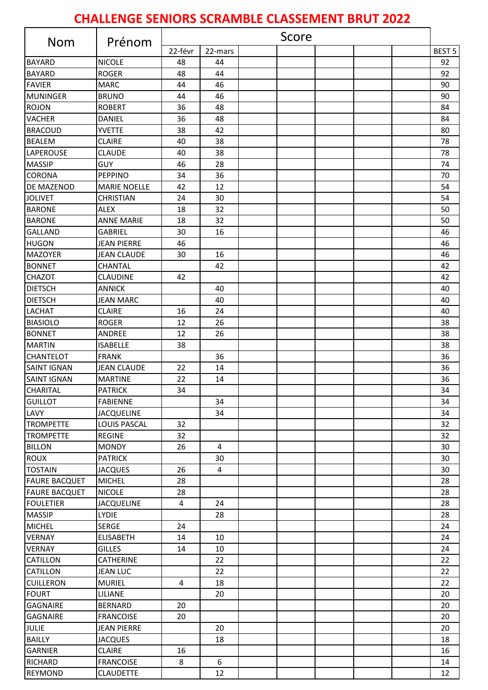## **CHALLENGE SENIORS SCRAMBLE CLASSEMENT BRUT 2022**

| <b>Nom</b>           | Prénom              | Score   |                |  |  |  |  |  |               |
|----------------------|---------------------|---------|----------------|--|--|--|--|--|---------------|
|                      |                     | 22-févr | 22-mars        |  |  |  |  |  | <b>BEST 5</b> |
| <b>BAYARD</b>        | <b>NICOLE</b>       | 48      | 44             |  |  |  |  |  | 92            |
| <b>BAYARD</b>        | <b>ROGER</b>        | 48      | 44             |  |  |  |  |  | 92            |
| <b>FAVIER</b>        | <b>MARC</b>         | 44      | 46             |  |  |  |  |  | 90            |
| <b>MUNINGER</b>      | <b>BRUNO</b>        | 44      | 46             |  |  |  |  |  | 90            |
| <b>ROJON</b>         | <b>ROBERT</b>       | 36      | 48             |  |  |  |  |  | 84            |
| <b>VACHER</b>        | DANIEL              | 36      | 48             |  |  |  |  |  | 84            |
| <b>BRACOUD</b>       | <b>YVETTE</b>       | 38      | 42             |  |  |  |  |  | 80            |
| <b>BEALEM</b>        | <b>CLAIRE</b>       | 40      | 38             |  |  |  |  |  | 78            |
| LAPEROUSE            | <b>CLAUDE</b>       | 40      | 38             |  |  |  |  |  | 78            |
| <b>MASSIP</b>        | GUY                 | 46      | 28             |  |  |  |  |  | 74            |
| <b>CORONA</b>        | PEPPINO             | 34      | 36             |  |  |  |  |  | 70            |
| <b>DE MAZENOD</b>    | <b>MARIE NOELLE</b> | 42      | 12             |  |  |  |  |  | 54            |
| <b>JOLIVET</b>       | <b>CHRISTIAN</b>    | 24      | 30             |  |  |  |  |  | 54            |
| <b>BARONE</b>        | <b>ALEX</b>         | 18      | 32             |  |  |  |  |  | 50            |
| <b>BARONE</b>        | <b>ANNE MARIE</b>   | 18      | 32             |  |  |  |  |  | 50            |
| <b>GALLAND</b>       | <b>GABRIEL</b>      | 30      | 16             |  |  |  |  |  | 46            |
| <b>HUGON</b>         | <b>JEAN PIERRE</b>  | 46      |                |  |  |  |  |  | 46            |
| <b>MAZOYER</b>       | JEAN CLAUDE         | 30      | 16             |  |  |  |  |  | 46            |
| <b>BONNET</b>        | <b>CHANTAL</b>      |         | 42             |  |  |  |  |  | 42            |
| <b>CHAZOT</b>        | <b>CLAUDINE</b>     | 42      |                |  |  |  |  |  | 42            |
| <b>DIETSCH</b>       | <b>ANNICK</b>       |         | 40             |  |  |  |  |  | 40            |
| <b>DIETSCH</b>       | <b>JEAN MARC</b>    |         | 40             |  |  |  |  |  | 40            |
| <b>LACHAT</b>        | <b>CLAIRE</b>       | 16      | 24             |  |  |  |  |  | 40            |
| <b>BIASIOLO</b>      | <b>ROGER</b>        | 12      | 26             |  |  |  |  |  | 38            |
| <b>BONNET</b>        | ANDREE              | 12      | 26             |  |  |  |  |  | 38            |
| <b>MARTIN</b>        | <b>ISABELLE</b>     | 38      |                |  |  |  |  |  | 38            |
| <b>CHANTELOT</b>     | <b>FRANK</b>        |         | 36             |  |  |  |  |  | 36            |
| <b>SAINT IGNAN</b>   | <b>JEAN CLAUDE</b>  | 22      | 14             |  |  |  |  |  | 36            |
| <b>SAINT IGNAN</b>   | <b>MARTINE</b>      | 22      | 14             |  |  |  |  |  | 36            |
| <b>CHARITAL</b>      | <b>PATRICK</b>      | 34      |                |  |  |  |  |  | 34            |
| <b>GUILLOT</b>       | <b>FABIENNE</b>     |         | 34             |  |  |  |  |  | 34            |
| LAVY                 | <b>JACQUELINE</b>   |         | 34             |  |  |  |  |  | 34            |
| <b>TROMPETTE</b>     | LOUIS PASCAL        | 32      |                |  |  |  |  |  | 32            |
| <b>TROMPETTE</b>     | <b>REGINE</b>       | 32      |                |  |  |  |  |  | 32            |
| <b>BILLON</b>        | <b>MONDY</b>        | 26      | $\overline{4}$ |  |  |  |  |  | 30            |
| <b>ROUX</b>          | <b>PATRICK</b>      |         | 30             |  |  |  |  |  | 30            |
| <b>TOSTAIN</b>       | <b>JACQUES</b>      | 26      | 4              |  |  |  |  |  | 30            |
| <b>FAURE BACQUET</b> | <b>MICHEL</b>       | 28      |                |  |  |  |  |  | 28            |
| <b>FAURE BACQUET</b> | <b>NICOLE</b>       | 28      |                |  |  |  |  |  | 28            |
| <b>FOULETIER</b>     | <b>JACQUELINE</b>   | 4       | 24             |  |  |  |  |  | 28            |
| <b>MASSIP</b>        | <b>LYDIE</b>        |         | 28             |  |  |  |  |  | 28            |
| <b>MICHEL</b>        | <b>SERGE</b>        | 24      |                |  |  |  |  |  | 24            |
| <b>VERNAY</b>        | <b>ELISABETH</b>    | 14      | 10             |  |  |  |  |  | 24            |
| <b>VERNAY</b>        | <b>GILLES</b>       | 14      | 10             |  |  |  |  |  | 24            |
| <b>CATILLON</b>      | <b>CATHERINE</b>    |         | 22             |  |  |  |  |  | 22            |
| <b>CATILLON</b>      | <b>JEAN LUC</b>     |         | 22             |  |  |  |  |  | 22            |
| <b>CUILLERON</b>     | <b>MURIEL</b>       | 4       | 18             |  |  |  |  |  | 22            |
| <b>FOURT</b>         | LILIANE             |         | 20             |  |  |  |  |  | 20            |
| <b>GAGNAIRE</b>      | <b>BERNARD</b>      | 20      |                |  |  |  |  |  | 20            |
| <b>GAGNAIRE</b>      | <b>FRANCOISE</b>    | 20      |                |  |  |  |  |  | 20            |
| <b>JULIE</b>         | JEAN PIERRE         |         | 20             |  |  |  |  |  | 20            |
| <b>BAILLY</b>        | <b>JACQUES</b>      |         | 18             |  |  |  |  |  | 18            |
| <b>GARNIER</b>       | <b>CLAIRE</b>       | 16      |                |  |  |  |  |  | 16            |
| <b>RICHARD</b>       | <b>FRANCOISE</b>    | 8       | 6              |  |  |  |  |  | 14            |
| <b>REYMOND</b>       | <b>CLAUDETTE</b>    |         | 12             |  |  |  |  |  | 12            |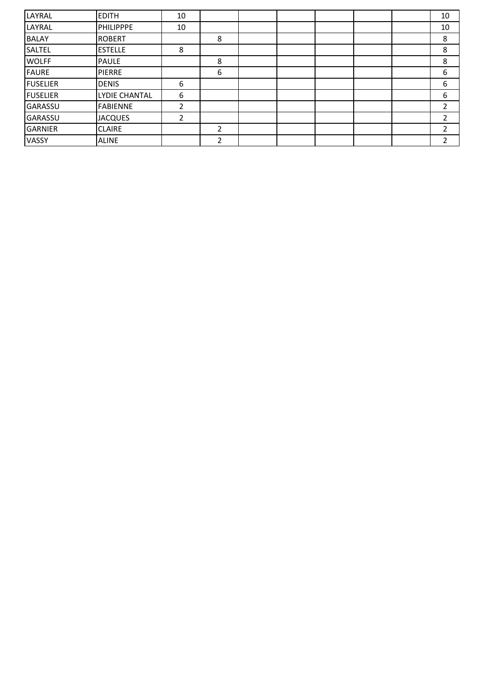| LAYRAL          | <b>EDITH</b>    | 10 |   |  |  | 10 |
|-----------------|-----------------|----|---|--|--|----|
| LAYRAL          | PHILIPPPE       | 10 |   |  |  | 10 |
| <b>BALAY</b>    | <b>ROBERT</b>   |    | 8 |  |  | 8  |
| SALTEL          | <b>ESTELLE</b>  | 8  |   |  |  | 8  |
| <b>WOLFF</b>    | <b>PAULE</b>    |    | 8 |  |  | 8  |
| <b>FAURE</b>    | <b>PIERRE</b>   |    | 6 |  |  | 6  |
| <b>FUSELIER</b> | <b>DENIS</b>    | 6  |   |  |  | 6  |
| <b>FUSELIER</b> | LYDIE CHANTAL   | 6  |   |  |  | 6  |
| GARASSU         | <b>FABIENNE</b> | 2  |   |  |  | 2  |
| <b>GARASSU</b>  | <b>JACQUES</b>  | 2  |   |  |  |    |
| <b>GARNIER</b>  | <b>CLAIRE</b>   |    | 2 |  |  | 2  |
| <b>VASSY</b>    | <b>ALINE</b>    |    | 2 |  |  | 2  |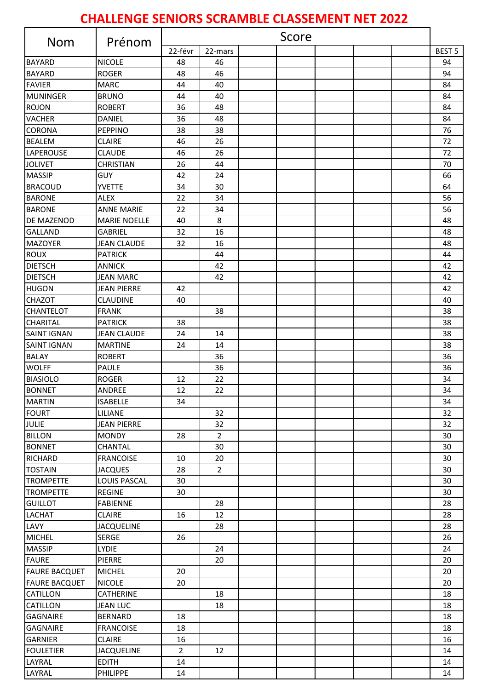## **CHALLENGE SENIORS SCRAMBLE CLASSEMENT NET 2022**

| <b>Nom</b>           | Prénom              | Score          |                |  |  |  |  |  |                   |
|----------------------|---------------------|----------------|----------------|--|--|--|--|--|-------------------|
|                      |                     | 22-févr        | 22-mars        |  |  |  |  |  | BEST <sub>5</sub> |
| <b>BAYARD</b>        | <b>NICOLE</b>       | 48             | 46             |  |  |  |  |  | 94                |
| <b>BAYARD</b>        | <b>ROGER</b>        | 48             | 46             |  |  |  |  |  | 94                |
| <b>FAVIER</b>        | <b>MARC</b>         | 44             | 40             |  |  |  |  |  | 84                |
| <b>MUNINGER</b>      | <b>BRUNO</b>        | 44             | 40             |  |  |  |  |  | 84                |
| <b>ROJON</b>         | <b>ROBERT</b>       | 36             | 48             |  |  |  |  |  | 84                |
| <b>VACHER</b>        | <b>DANIEL</b>       | 36             | 48             |  |  |  |  |  | 84                |
| <b>CORONA</b>        | PEPPINO             | 38             | 38             |  |  |  |  |  | 76                |
| <b>BEALEM</b>        | <b>CLAIRE</b>       | 46             | 26             |  |  |  |  |  | 72                |
| LAPEROUSE            | <b>CLAUDE</b>       | 46             | 26             |  |  |  |  |  | 72                |
| <b>JOLIVET</b>       | <b>CHRISTIAN</b>    | 26             | 44             |  |  |  |  |  | 70                |
| <b>MASSIP</b>        | GUY                 | 42             | 24             |  |  |  |  |  | 66                |
| <b>BRACOUD</b>       | <b>YVETTE</b>       | 34             | 30             |  |  |  |  |  | 64                |
| <b>BARONE</b>        | <b>ALEX</b>         | 22             | 34             |  |  |  |  |  | 56                |
| <b>BARONE</b>        | <b>ANNE MARIE</b>   | 22             | 34             |  |  |  |  |  | 56                |
| <b>DE MAZENOD</b>    | <b>MARIE NOELLE</b> | 40             | 8              |  |  |  |  |  | 48                |
| <b>GALLAND</b>       | <b>GABRIEL</b>      | 32             | 16             |  |  |  |  |  | 48                |
| <b>MAZOYER</b>       | <b>JEAN CLAUDE</b>  | 32             | 16             |  |  |  |  |  | 48                |
| <b>ROUX</b>          | <b>PATRICK</b>      |                | 44             |  |  |  |  |  | 44                |
| <b>DIETSCH</b>       | <b>ANNICK</b>       |                | 42             |  |  |  |  |  | 42                |
| <b>DIETSCH</b>       | <b>JEAN MARC</b>    |                | 42             |  |  |  |  |  | 42                |
| <b>HUGON</b>         | <b>JEAN PIERRE</b>  | 42             |                |  |  |  |  |  | 42                |
| <b>CHAZOT</b>        | <b>CLAUDINE</b>     | 40             |                |  |  |  |  |  | 40                |
| <b>CHANTELOT</b>     | <b>FRANK</b>        |                | 38             |  |  |  |  |  | 38                |
| <b>CHARITAL</b>      | <b>PATRICK</b>      | 38             |                |  |  |  |  |  | 38                |
| <b>SAINT IGNAN</b>   | <b>JEAN CLAUDE</b>  | 24             | 14             |  |  |  |  |  | 38                |
| <b>SAINT IGNAN</b>   | <b>MARTINE</b>      | 24             | 14             |  |  |  |  |  | 38                |
| <b>BALAY</b>         | <b>ROBERT</b>       |                | 36             |  |  |  |  |  | 36                |
| <b>WOLFF</b>         | <b>PAULE</b>        |                | 36             |  |  |  |  |  | 36                |
| <b>BIASIOLO</b>      | <b>ROGER</b>        | 12             | 22             |  |  |  |  |  | 34                |
| <b>BONNET</b>        | <b>ANDREE</b>       | 12             | 22             |  |  |  |  |  | 34                |
| <b>MARTIN</b>        | <b>ISABELLE</b>     | 34             |                |  |  |  |  |  | 34                |
| <b>FOURT</b>         | LILIANE             |                | 32             |  |  |  |  |  | 32                |
| <b>JULIE</b>         | <b>JEAN PIERRE</b>  |                | 32             |  |  |  |  |  | 32                |
| <b>BILLON</b>        | <b>MONDY</b>        | 28             | $\overline{2}$ |  |  |  |  |  | 30                |
| <b>BONNET</b>        | <b>CHANTAL</b>      |                | 30             |  |  |  |  |  | 30                |
| <b>RICHARD</b>       | <b>FRANCOISE</b>    | 10             | 20             |  |  |  |  |  | 30                |
| <b>TOSTAIN</b>       | <b>JACQUES</b>      | 28             | $\overline{2}$ |  |  |  |  |  | 30                |
| <b>TROMPETTE</b>     | LOUIS PASCAL        | 30             |                |  |  |  |  |  | 30                |
| <b>TROMPETTE</b>     | <b>REGINE</b>       | 30             |                |  |  |  |  |  | 30                |
| <b>GUILLOT</b>       | <b>FABIENNE</b>     |                | 28             |  |  |  |  |  | 28                |
| <b>LACHAT</b>        | <b>CLAIRE</b>       | 16             | 12             |  |  |  |  |  | 28                |
| LAVY                 | <b>JACQUELINE</b>   |                | 28             |  |  |  |  |  | 28                |
| <b>MICHEL</b>        | <b>SERGE</b>        | 26             |                |  |  |  |  |  | 26                |
| <b>MASSIP</b>        | <b>LYDIE</b>        |                | 24             |  |  |  |  |  | 24                |
| <b>FAURE</b>         | PIERRE              |                | 20             |  |  |  |  |  | 20                |
| <b>FAURE BACQUET</b> | <b>MICHEL</b>       | 20             |                |  |  |  |  |  | 20                |
| <b>FAURE BACQUET</b> | <b>NICOLE</b>       | 20             |                |  |  |  |  |  | 20                |
| <b>CATILLON</b>      | <b>CATHERINE</b>    |                | 18             |  |  |  |  |  | 18                |
| <b>CATILLON</b>      | <b>JEAN LUC</b>     |                | 18             |  |  |  |  |  | 18                |
| <b>GAGNAIRE</b>      | <b>BERNARD</b>      | 18             |                |  |  |  |  |  | 18                |
| <b>GAGNAIRE</b>      | <b>FRANCOISE</b>    | 18             |                |  |  |  |  |  | 18                |
| <b>GARNIER</b>       | <b>CLAIRE</b>       | 16             |                |  |  |  |  |  | 16                |
| <b>FOULETIER</b>     | <b>JACQUELINE</b>   | $\overline{2}$ | 12             |  |  |  |  |  | 14                |
| LAYRAL               | <b>EDITH</b>        | 14             |                |  |  |  |  |  | 14                |
| LAYRAL               | <b>PHILIPPE</b>     | 14             |                |  |  |  |  |  | 14                |
|                      |                     |                |                |  |  |  |  |  |                   |